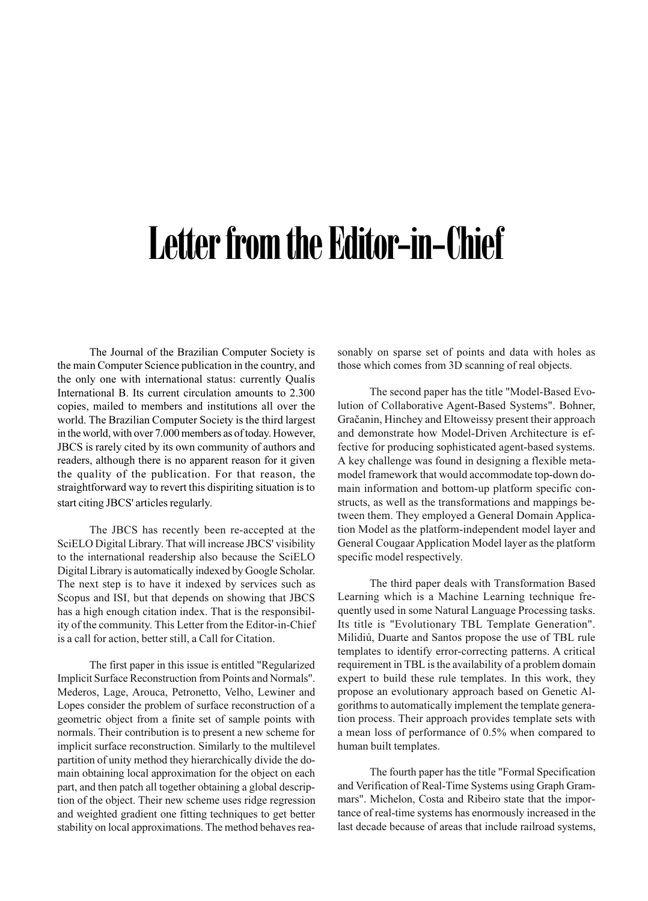## Letter from the Editor-in-Chief

The Journal of the Brazilian Computer Society is the main Computer Science publication in the country, and the only one with international status: currently Qualis International B. Its current circulation amounts to 2.300 copies, mailed to members and institutions all over the world. The Brazilian Computer Society is the third largest in the world, with over 7.000 members as of today. However, JBCS is rarely cited by its own community of authors and readers, although there is no apparent reason for it given the quality of the publication. For that reason, the straightforward way to revert this dispiriting situation is to start citing JBCS' articles regularly.

The JBCS has recently been re-accepted at the SciELO Digital Library. That will increase JBCS' visibility to the international readership also because the SciELO Digital Library is automatically indexed by Google Scholar. The next step is to have it indexed by services such as Scopus and ISI, but that depends on showing that JBCS has a high enough citation index. That is the responsibility of the community. This Letter from the Editor-in-Chief is a call for action, better still, a Call for Citation.

The first paper in this issue is entitled "Regularized Implicit Surface Reconstruction from Points and Normals". Mederos, Lage, Arouca, Petronetto, Velho, Lewiner and Lopes consider the problem of surface reconstruction of a geometric object from a finite set of sample points with normals. Their contribution is to present a new scheme for implicit surface reconstruction. Similarly to the multilevel partition of unity method they hierarchically divide the domain obtaining local approximation for the object on each part, and then patch all together obtaining a global description of the object. Their new scheme uses ridge regression and weighted gradient one fitting techniques to get better stability on local approximations. The method behaves reasonably on sparse set of points and data with holes as those which comes from 3D scanning of real objects.

The second paper has the title "Model-Based Evolution of Collaborative Agent-Based Systems". Bohner, Gracanin, Hinchey and Eltoweissy present their approach and demonstrate how Model-Driven Architecture is effective for producing sophisticated agent-based systems. A key challenge was found in designing a flexible metamodel framework that would accommodate top-down domain information and bottom-up platform specific constructs, as well as the transformations and mappings between them. They employed a General Domain Application Model as the platform-independent model layer and General Cougaar Application Model layer as the platform specific model respectively.

The third paper deals with Transformation Based Learning which is a Machine Learning technique frequently used in some Natural Language Processing tasks. Its title is "Evolutionary TBL Template Generation". Milidiú, Duarte and Santos propose the use of TBL rule templates to identify error-correcting patterns. A critical requirement in TBL is the availability of a problem domain expert to build these rule templates. In this work, they propose an evolutionary approach based on Genetic Algorithms to automatically implement the template generation process. Their approach provides template sets with a mean loss of performance of 0.5% when compared to human built templates.

The fourth paper has the title "Formal Specification and Verification of Real-Time Systems using Graph Grammars". Michelon, Costa and Ribeiro state that the importance of real-time systems has enormously increased in the last decade because of areas that include railroad systems,